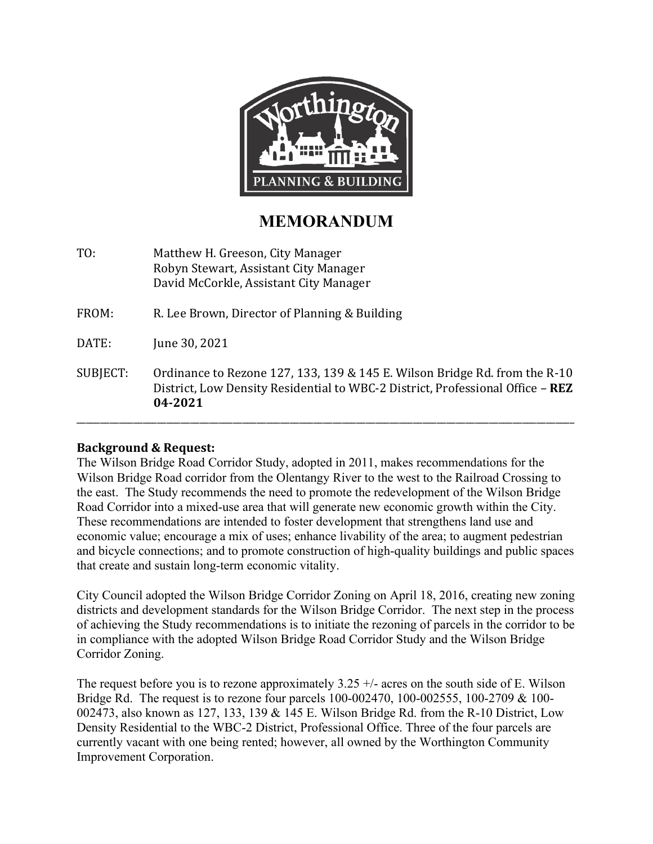

# **MEMORANDUM**

TO: Matthew H. Greeson, City Manager Robyn Stewart, Assistant City Manager David McCorkle, Assistant City Manager

FROM: R. Lee Brown, Director of Planning & Building

DATE: June 30, 2021

SUBJECT: Ordinance to Rezone 127, 133, 139 & 145 E. Wilson Bridge Rd. from the R-10 District, Low Density Residential to WBC-2 District, Professional Office – **REZ 04-2021**

\_\_\_\_\_\_\_\_\_\_\_\_\_\_\_\_\_\_\_\_\_\_\_\_\_\_\_\_\_\_\_\_\_\_\_\_\_\_\_\_\_\_\_\_\_\_\_\_\_\_\_\_\_\_\_\_\_\_\_\_\_\_\_\_\_\_\_\_\_\_\_\_\_\_\_\_\_\_\_\_\_\_\_\_\_\_\_\_\_\_\_\_\_\_\_\_\_\_\_\_\_\_\_\_\_

# **Background & Request:**

The Wilson Bridge Road Corridor Study, adopted in 2011, makes recommendations for the Wilson Bridge Road corridor from the Olentangy River to the west to the Railroad Crossing to the east. The Study recommends the need to promote the redevelopment of the Wilson Bridge Road Corridor into a mixed-use area that will generate new economic growth within the City. These recommendations are intended to foster development that strengthens land use and economic value; encourage a mix of uses; enhance livability of the area; to augment pedestrian and bicycle connections; and to promote construction of high-quality buildings and public spaces that create and sustain long-term economic vitality.

City Council adopted the Wilson Bridge Corridor Zoning on April 18, 2016, creating new zoning districts and development standards for the Wilson Bridge Corridor. The next step in the process of achieving the Study recommendations is to initiate the rezoning of parcels in the corridor to be in compliance with the adopted Wilson Bridge Road Corridor Study and the Wilson Bridge Corridor Zoning.

The request before you is to rezone approximately  $3.25 +$ - acres on the south side of E. Wilson Bridge Rd. The request is to rezone four parcels 100-002470, 100-002555, 100-2709 & 100- 002473, also known as 127, 133, 139 & 145 E. Wilson Bridge Rd. from the R-10 District, Low Density Residential to the WBC-2 District, Professional Office. Three of the four parcels are currently vacant with one being rented; however, all owned by the Worthington Community Improvement Corporation.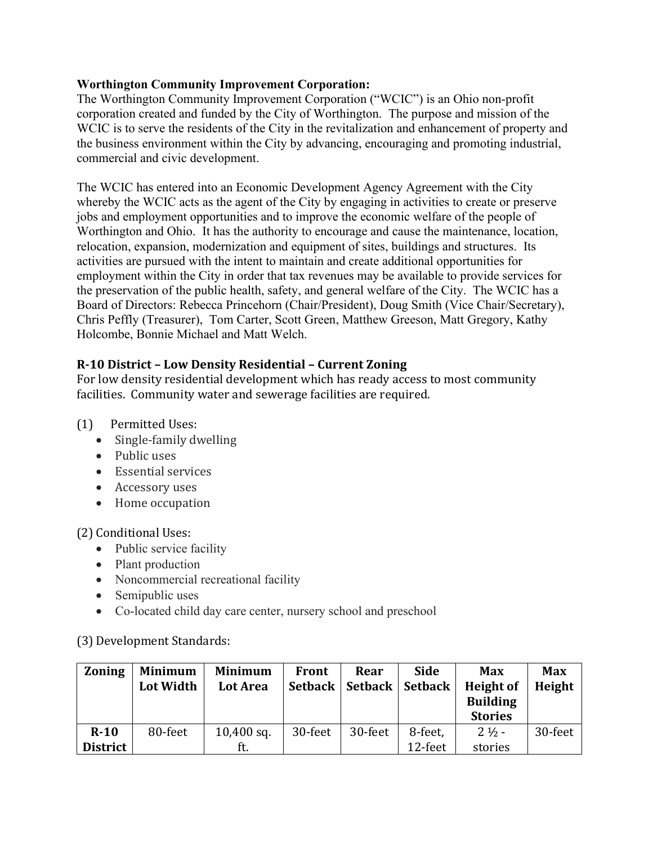## **Worthington Community Improvement Corporation:**

The Worthington Community Improvement Corporation ("WCIC") is an Ohio non-profit corporation created and funded by the City of Worthington. The purpose and mission of the WCIC is to serve the residents of the City in the revitalization and enhancement of property and the business environment within the City by advancing, encouraging and promoting industrial, commercial and civic development.

The WCIC has entered into an Economic Development Agency Agreement with the City whereby the WCIC acts as the agent of the City by engaging in activities to create or preserve jobs and employment opportunities and to improve the economic welfare of the people of Worthington and Ohio. It has the authority to encourage and cause the maintenance, location, relocation, expansion, modernization and equipment of sites, buildings and structures. Its activities are pursued with the intent to maintain and create additional opportunities for employment within the City in order that tax revenues may be available to provide services for the preservation of the public health, safety, and general welfare of the City. The WCIC has a Board of Directors: Rebecca Princehorn (Chair/President), Doug Smith (Vice Chair/Secretary), Chris Peffly (Treasurer), Tom Carter, Scott Green, Matthew Greeson, Matt Gregory, Kathy Holcombe, Bonnie Michael and Matt Welch.

# **R-10 District – Low Density Residential – Current Zoning**

For low density residential development which has ready access to most community facilities. Community water and sewerage facilities are required.

# (1) Permitted Uses:

- Single-family dwelling
- Public uses
- Essential services
- Accessory uses
- Home occupation

(2) Conditional Uses:

- Public service facility
- Plant production
- Noncommercial recreational facility
- Semipublic uses
- Co-located child day care center, nursery school and preschool

## (3) Development Standards:

| <b>Zoning</b>   | <b>Minimum</b><br><b>Lot Width</b> | <b>Minimum</b><br>Lot Area | <b>Front</b> | Rear<br>Setback   Setback | <b>Side</b><br>Setback | <b>Max</b><br><b>Height of</b><br><b>Building</b><br><b>Stories</b> | <b>Max</b><br>Height |
|-----------------|------------------------------------|----------------------------|--------------|---------------------------|------------------------|---------------------------------------------------------------------|----------------------|
| $R-10$          | 80-feet                            | $10,400$ sq.               | 30-feet      | 30-feet                   | 8-feet,                | $2 \frac{1}{2}$ -                                                   | 30-feet              |
| <b>District</b> |                                    | ft.                        |              |                           | 12-feet                | stories                                                             |                      |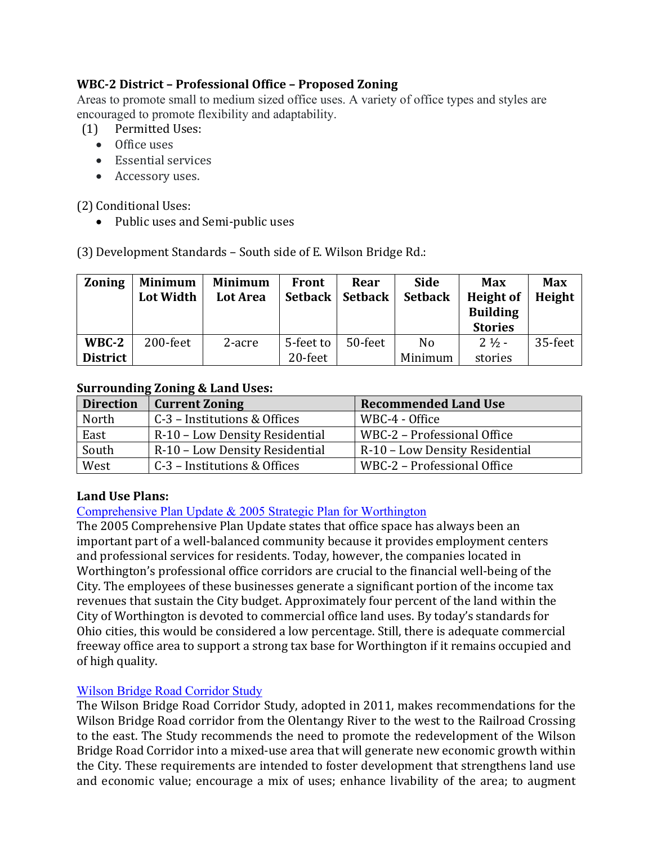# **WBC-2 District – Professional Office – Proposed Zoning**

Areas to promote small to medium sized office uses. A variety of office types and styles are encouraged to promote flexibility and adaptability.

- (1) Permitted Uses:
	- Office uses
	- Essential services
	- Accessory uses.

(2) Conditional Uses:

• Public uses and Semi-public uses

(3) Development Standards – South side of E. Wilson Bridge Rd.:

| <b>Zoning</b>   | <b>Minimum</b><br><b>Lot Width</b> | <b>Minimum</b><br>Lot Area | <b>Front</b><br><b>Setback</b> | Rear<br>  Setback | <b>Side</b><br><b>Setback</b> | <b>Max</b><br><b>Height of</b> | <b>Max</b><br>Height |
|-----------------|------------------------------------|----------------------------|--------------------------------|-------------------|-------------------------------|--------------------------------|----------------------|
|                 |                                    |                            |                                |                   |                               | <b>Building</b>                |                      |
|                 |                                    |                            |                                |                   |                               | <b>Stories</b>                 |                      |
| $WBC-2$         | 200-feet                           | 2-acre                     | 5-feet to                      | 50-feet           | N <sub>o</sub>                | $2 \frac{1}{2}$ -              | 35-feet              |
| <b>District</b> |                                    |                            | 20-feet                        |                   | Minimum                       | stories                        |                      |

## **Surrounding Zoning & Land Uses:**

| <b>Direction</b> | <b>Current Zoning</b>          | <b>Recommended Land Use</b>    |
|------------------|--------------------------------|--------------------------------|
| North            | C-3 - Institutions & Offices   | WBC-4 - Office                 |
| East             | R-10 - Low Density Residential | WBC-2 – Professional Office    |
| South            | R-10 - Low Density Residential | R-10 - Low Density Residential |
| West             | C-3 – Institutions & Offices   | WBC-2 – Professional Office    |

## **Land Use Plans:**

## [Comprehensive Plan Update & 2005 Strategic Plan for Worthington](https://worthington.org/DocumentCenter/View/155/Comprehensive-Plan?bidId=)

The 2005 Comprehensive Plan Update states that office space has always been an important part of a well-balanced community because it provides employment centers and professional services for residents. Today, however, the companies located in Worthington's professional office corridors are crucial to the financial well-being of the City. The employees of these businesses generate a significant portion of the income tax revenues that sustain the City budget. Approximately four percent of the land within the City of Worthington is devoted to commercial office land uses. By today's standards for Ohio cities, this would be considered a low percentage. Still, there is adequate commercial freeway office area to support a strong tax base for Worthington if it remains occupied and of high quality.

## [Wilson Bridge Road Corridor](https://worthington.org/645/2011-Wilson-Bridge-Road-Corridor-Study) Study

The Wilson Bridge Road Corridor Study, adopted in 2011, makes recommendations for the Wilson Bridge Road corridor from the Olentangy River to the west to the Railroad Crossing to the east. The Study recommends the need to promote the redevelopment of the Wilson Bridge Road Corridor into a mixed-use area that will generate new economic growth within the City. These requirements are intended to foster development that strengthens land use and economic value; encourage a mix of uses; enhance livability of the area; to augment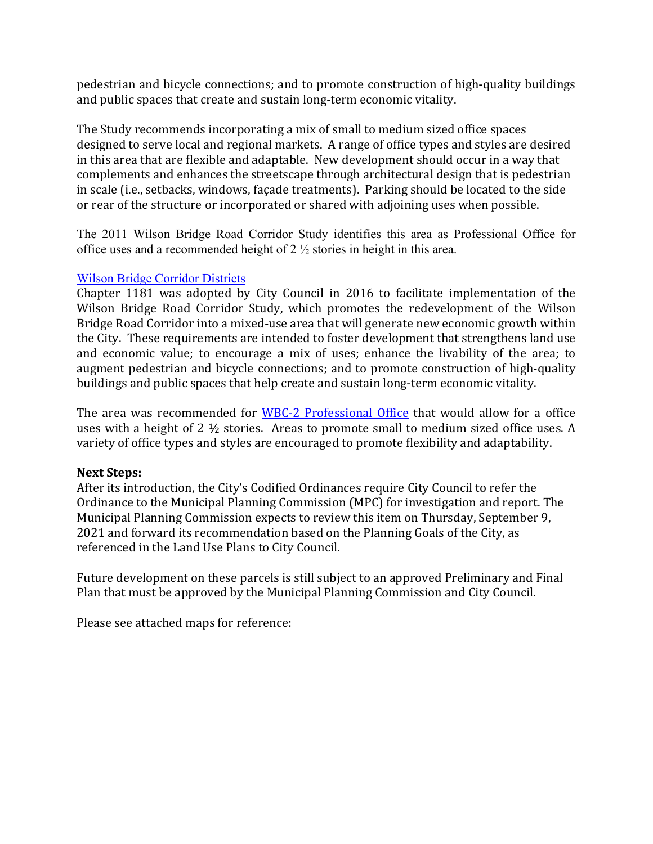pedestrian and bicycle connections; and to promote construction of high-quality buildings and public spaces that create and sustain long-term economic vitality.

The Study recommends incorporating a mix of small to medium sized office spaces designed to serve local and regional markets. A range of office types and styles are desired in this area that are flexible and adaptable. New development should occur in a way that complements and enhances the streetscape through architectural design that is pedestrian in scale (i.e., setbacks, windows, façade treatments). Parking should be located to the side or rear of the structure or incorporated or shared with adjoining uses when possible.

The 2011 Wilson Bridge Road Corridor Study identifies this area as Professional Office for office uses and a recommended height of 2 ½ stories in height in this area.

#### [Wilson Bridge Corridor Districts](http://library2.amlegal.com/nxt/gateway.dll/Ohio/worthington_oh/codifiedordinancesofthecityofworthington?f=templates$fn=default.htm$3.0$vid=amlegal:worthington_oh)

Chapter 1181 was adopted by City Council in 2016 to facilitate implementation of the Wilson Bridge Road Corridor Study, which promotes the redevelopment of the Wilson Bridge Road Corridor into a mixed-use area that will generate new economic growth within the City. These requirements are intended to foster development that strengthens land use and economic value; to encourage a mix of uses; enhance the livability of the area; to augment pedestrian and bicycle connections; and to promote construction of high-quality buildings and public spaces that help create and sustain long-term economic vitality.

The area was recommended for WBC-2 [Professional Office](https://codelibrary.amlegal.com/codes/worthington/latest/worthington_oh/0-0-0-37765#JD_1181.06) that would allow for a office uses with a height of 2 ½ stories. Areas to promote small to medium sized office uses. A variety of office types and styles are encouraged to promote flexibility and adaptability.

## **Next Steps:**

After its introduction, the City's Codified Ordinances require City Council to refer the Ordinance to the Municipal Planning Commission (MPC) for investigation and report. The Municipal Planning Commission expects to review this item on Thursday, September 9, 2021 and forward its recommendation based on the Planning Goals of the City, as referenced in the Land Use Plans to City Council.

Future development on these parcels is still subject to an approved Preliminary and Final Plan that must be approved by the Municipal Planning Commission and City Council.

Please see attached maps for reference: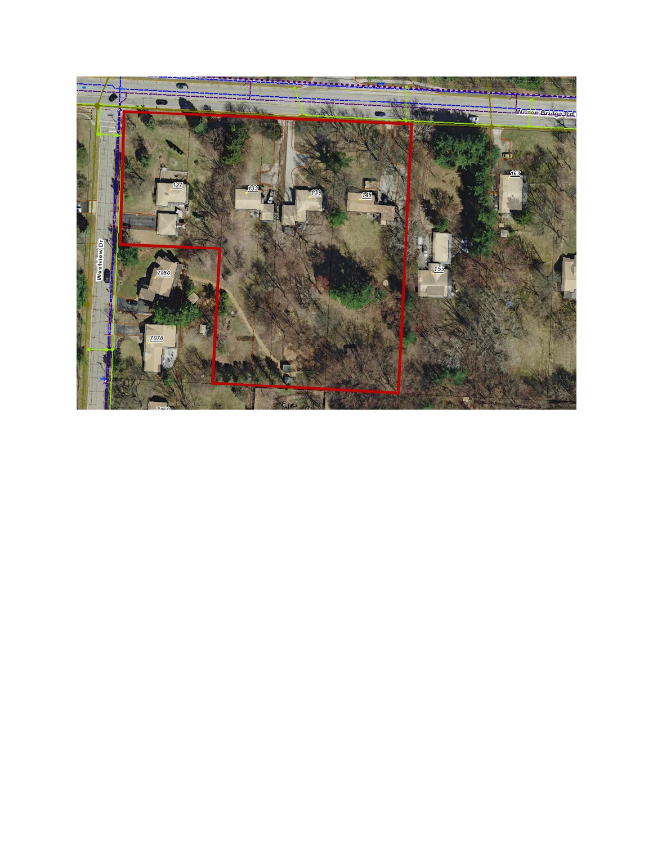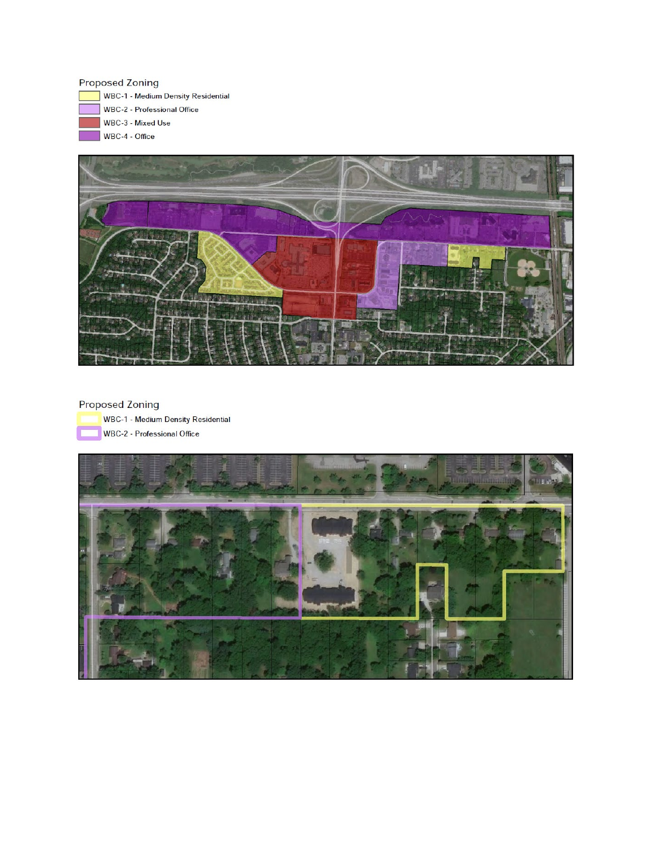#### **Proposed Zoning**

WBC-1 - Medium Density Residential WBC-2 - Professional Office WBC-3 - Mixed Use WBC-4 - Office



#### **Proposed Zoning**

WBC-1 - Medium Density Residential WBC-2 - Professional Office